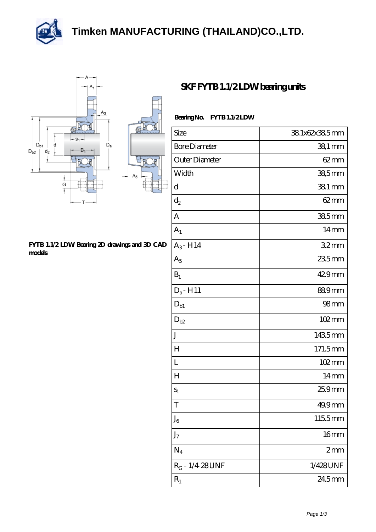## **[Timken MANUFACTURING \(THAILAND\)CO.,LTD.](https://m.thereclaimer.net)**

凡





## **[FYTB 1.1/2 LDW Bearing 2D drawings and 3D CAD](https://m.thereclaimer.net/pic-65136288.html) [models](https://m.thereclaimer.net/pic-65136288.html)**

## **[SKF FYTB 1.1/2 LDW bearing units](https://m.thereclaimer.net/skf-fytb-1-1-2-ldw-bearing/)**

| Size                 | 38.1x62x38.5mm      |
|----------------------|---------------------|
| <b>Bore Diameter</b> | $381$ mm            |
| Outer Diameter       | $62 \text{mm}$      |
| Width                | 38,5mm              |
| d                    | 381 mm              |
| $d_2$                | $62 \text{mm}$      |
| A                    | 385mm               |
| A <sub>1</sub>       | $14 \text{mm}$      |
| $A_3 - H14$          | 32mm                |
| $A_5$                | 235mm               |
| $B_1$                | 429mm               |
| $D_a$ -H11           | 889mm               |
| $D_{b1}$             | 98 <sub>mm</sub>    |
| $D_{b2}$             | $102 \,\mathrm{mm}$ |
| J                    | 1435mm              |
| H                    | 171.5mm             |
| L                    | $102 \,\mathrm{mm}$ |
| $H_{\rm}$            | $14 \text{mm}$      |
| $S_1$                | 25.9mm              |
| T                    | 49.9mm              |
| $J_6$                | 1155mm              |
| J <sub>7</sub>       | 16 <sub>mm</sub>    |
| $N_4$                | 2mm                 |
| $R_G - 1/4.28$ UNF   | 1/428UNF            |
| $R_1$                | 24.5mm              |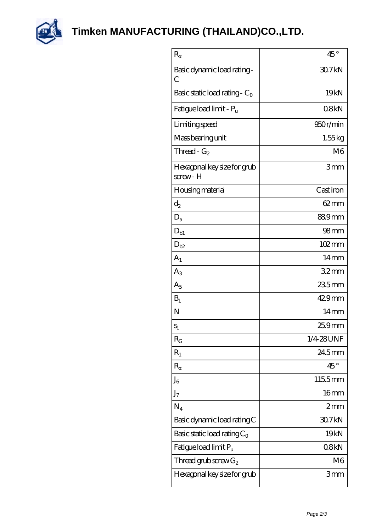

**[Timken MANUFACTURING \(THAILAND\)CO.,LTD.](https://m.thereclaimer.net)**

| $\mathbf R$                            | $45^{\circ}$     |
|----------------------------------------|------------------|
| Basic dynamic load rating -<br>С       | 30.7kN           |
| Basic static load rating - $C_0$       | 19 <sub>kN</sub> |
| Fatigue load limit - P <sub>u</sub>    | 08kN             |
| Limiting speed                         | 950r/min         |
| Mass bearing unit                      | 1.55kg           |
| Thread - $G_2$                         | M6               |
| Hexagonal key size for grub<br>screw-H | 3mm              |
| <b>Housing material</b>                | Cast iron        |
| $d_2$                                  | $62 \text{mm}$   |
| $\mathbf{D}_\mathrm{a}$                | 889mm            |
| $D_{b1}$                               | 98 <sub>mm</sub> |
| $D_{b2}$                               | 102mm            |
| $A_{1}$                                | $14 \text{mm}$   |
| $A_3$                                  | 32mm             |
| $A_5$                                  | $235$ mm         |
| $B_1$                                  | 429mm            |
| N                                      | $14 \text{mm}$   |
| $S_1$                                  | 25.9mm           |
| $R_G$                                  | 1/4 28 UNF       |
| $R_1$                                  | 24.5mm           |
| $\mathbb R$                            | $45^{\circ}$     |
| ${\rm J_6}$                            | 1155mm           |
| J <sub>7</sub>                         | 16 <sub>mm</sub> |
| $N_4$                                  | 2mm              |
| Basic dynamic load rating C            | 30.7kN           |
| Basic static load rating $C_0$         | 19 <sub>kN</sub> |
| Fatigue load limit P <sub>u</sub>      | 08kN             |
| Thread grub screw $G_2$                | M <sub>6</sub>   |
| Hexagonal key size for grub            | 3mm              |